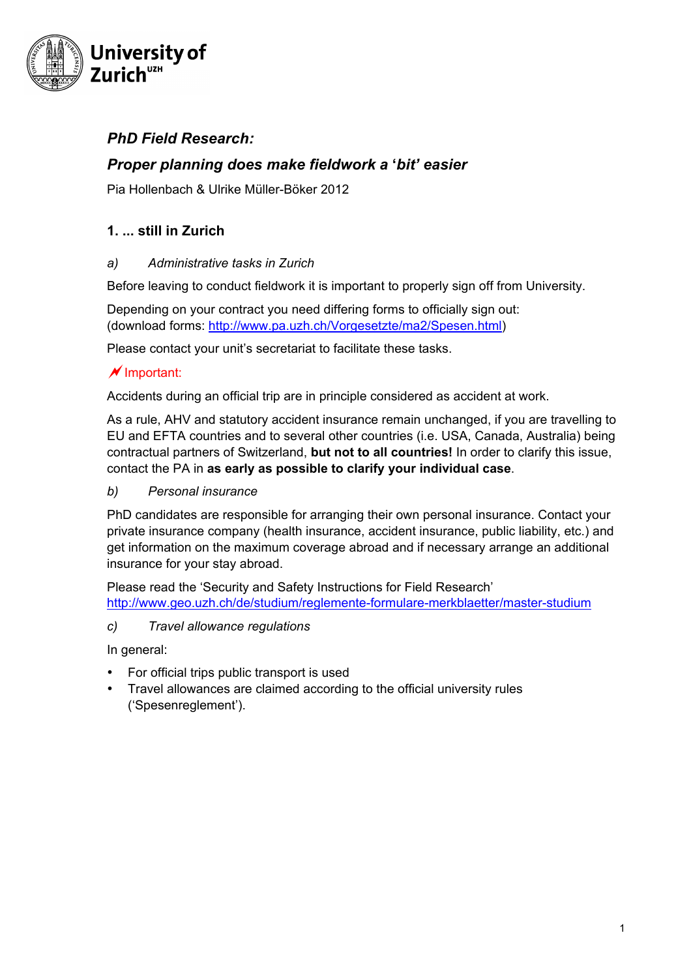

# *PhD Field Research:*

## *Proper planning does make fieldwork a* **'***bit' easier*

Pia Hollenbach & Ulrike Müller-Böker 2012

## **1. ... still in Zurich**

## *a) Administrative tasks in Zurich*

Before leaving to conduct fieldwork it is important to properly sign off from University.

Depending on your contract you need differing forms to officially sign out: (download forms: http://www.pa.uzh.ch/Vorgesetzte/ma2/Spesen.html)

Please contact your unit's secretariat to facilitate these tasks.

## $M$  Important:

Accidents during an official trip are in principle considered as accident at work.

As a rule, AHV and statutory accident insurance remain unchanged, if you are travelling to EU and EFTA countries and to several other countries (i.e. USA, Canada, Australia) being contractual partners of Switzerland, **but not to all countries!** In order to clarify this issue, contact the PA in **as early as possible to clarify your individual case**.

## *b) Personal insurance*

PhD candidates are responsible for arranging their own personal insurance. Contact your private insurance company (health insurance, accident insurance, public liability, etc.) and get information on the maximum coverage abroad and if necessary arrange an additional insurance for your stay abroad.

Please read the 'Security and Safety Instructions for Field Research' http://www.geo.uzh.ch/de/studium/reglemente-formulare-merkblaetter/master-studium

## *c) Travel allowance regulations*

In general:

- For official trips public transport is used
- Travel allowances are claimed according to the official university rules ('Spesenreglement').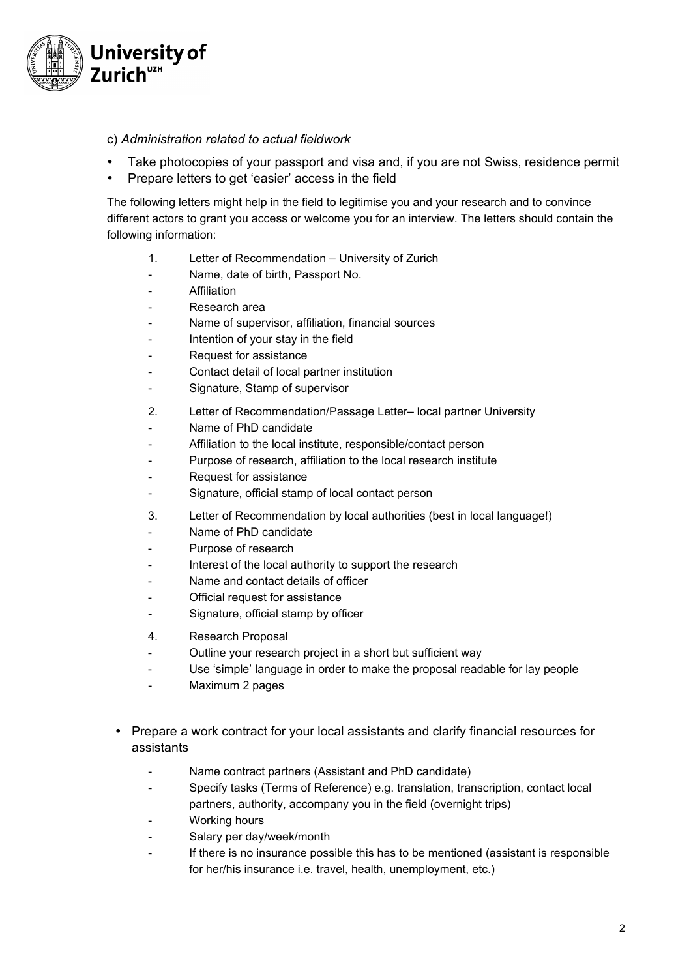

#### c) *Administration related to actual fieldwork*

- Take photocopies of your passport and visa and, if you are not Swiss, residence permit
- Prepare letters to get 'easier' access in the field

The following letters might help in the field to legitimise you and your research and to convince different actors to grant you access or welcome you for an interview. The letters should contain the following information:

- 1. Letter of Recommendation University of Zurich
- Name, date of birth, Passport No.
- Affiliation
- Research area
- Name of supervisor, affiliation, financial sources
- Intention of your stay in the field
- Request for assistance
- Contact detail of local partner institution
- Signature, Stamp of supervisor
- 2. Letter of Recommendation/Passage Letter– local partner University
- Name of PhD candidate
- Affiliation to the local institute, responsible/contact person
- Purpose of research, affiliation to the local research institute
- Request for assistance
- Signature, official stamp of local contact person
- 3. Letter of Recommendation by local authorities (best in local language!)
- Name of PhD candidate
- Purpose of research
- Interest of the local authority to support the research
- Name and contact details of officer
- Official request for assistance
- Signature, official stamp by officer
- 4. Research Proposal
- Outline your research project in a short but sufficient way
- Use 'simple' language in order to make the proposal readable for lay people
- Maximum 2 pages
- Prepare a work contract for your local assistants and clarify financial resources for assistants
	- Name contract partners (Assistant and PhD candidate)
	- Specify tasks (Terms of Reference) e.g. translation, transcription, contact local partners, authority, accompany you in the field (overnight trips)
	- Working hours
	- Salary per day/week/month
	- If there is no insurance possible this has to be mentioned (assistant is responsible for her/his insurance i.e. travel, health, unemployment, etc.)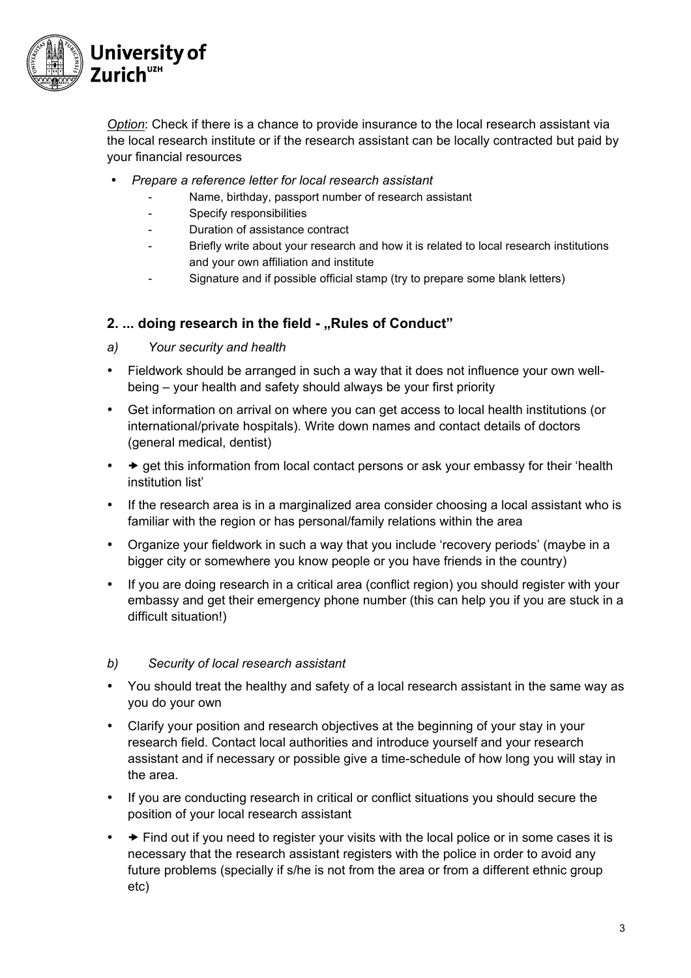

**Option:** Check if there is a chance to provide insurance to the local research assistant via the local research institute or if the research assistant can be locally contracted but paid by your financial resources

- *Prepare a reference letter for local research assistant*
	- Name, birthday, passport number of research assistant
	- Specify responsibilities
	- Duration of assistance contract
	- Briefly write about your research and how it is related to local research institutions and your own affiliation and institute
	- Signature and if possible official stamp (try to prepare some blank letters)

## 2. ... doing research in the field - "Rules of Conduct"

#### *a) Your security and health*

- Fieldwork should be arranged in such a way that it does not influence your own wellbeing – your health and safety should always be your first priority
- Get information on arrival on where you can get access to local health institutions (or international/private hospitals). Write down names and contact details of doctors (general medical, dentist)
- $\bullet\quad \bullet$  qet this information from local contact persons or ask your embassy for their 'health institution list'
- If the research area is in a marginalized area consider choosing a local assistant who is familiar with the region or has personal/family relations within the area
- Organize your fieldwork in such a way that you include 'recovery periods' (maybe in a bigger city or somewhere you know people or you have friends in the country)
- If you are doing research in a critical area (conflict region) you should register with your embassy and get their emergency phone number (this can help you if you are stuck in a difficult situation!)

## *b) Security of local research assistant*

- You should treat the healthy and safety of a local research assistant in the same way as you do your own
- Clarify your position and research objectives at the beginning of your stay in your research field. Contact local authorities and introduce yourself and your research assistant and if necessary or possible give a time-schedule of how long you will stay in the area.
- If you are conducting research in critical or conflict situations you should secure the position of your local research assistant
- $\rightarrow$  Find out if you need to register your visits with the local police or in some cases it is necessary that the research assistant registers with the police in order to avoid any future problems (specially if s/he is not from the area or from a different ethnic group etc)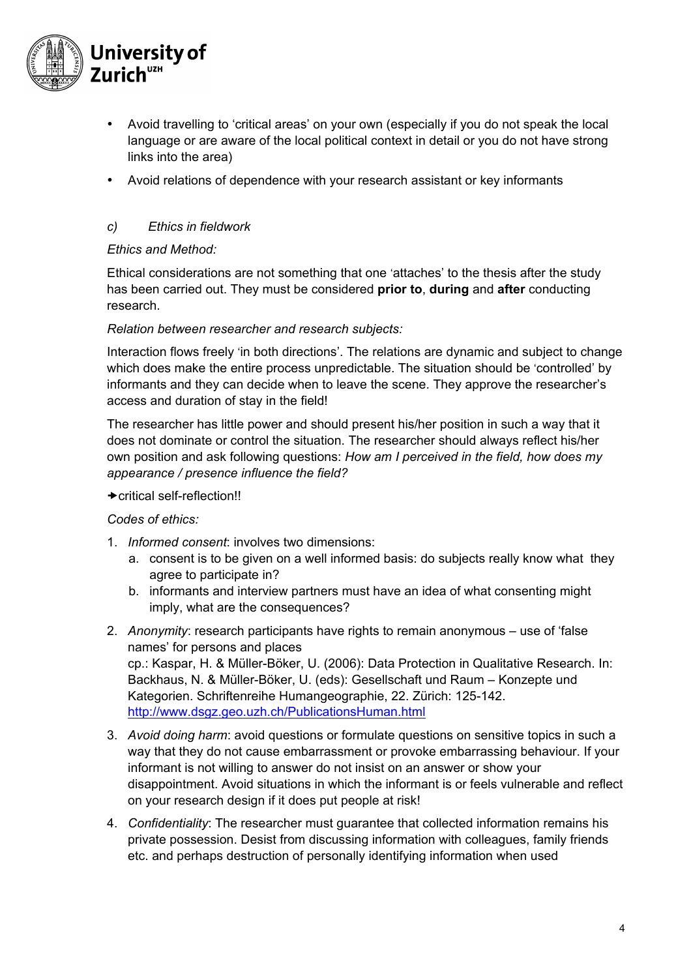

- Avoid travelling to 'critical areas' on your own (especially if you do not speak the local language or are aware of the local political context in detail or you do not have strong links into the area)
- Avoid relations of dependence with your research assistant or key informants

### *c) Ethics in fieldwork*

#### *Ethics and Method:*

Ethical considerations are not something that one 'attaches' to the thesis after the study has been carried out. They must be considered **prior to**, **during** and **after** conducting research.

#### *Relation between researcher and research subjects:*

Interaction flows freely 'in both directions'. The relations are dynamic and subject to change which does make the entire process unpredictable. The situation should be 'controlled' by informants and they can decide when to leave the scene. They approve the researcher's access and duration of stay in the field!

The researcher has little power and should present his/her position in such a way that it does not dominate or control the situation. The researcher should always reflect his/her own position and ask following questions: *How am I perceived in the field, how does my appearance / presence influence the field?*

critical self-reflection!!

#### *Codes of ethics:*

- 1. *Informed consent*: involves two dimensions:
	- a. consent is to be given on a well informed basis: do subjects really know what they agree to participate in?
	- b. informants and interview partners must have an idea of what consenting might imply, what are the consequences?
- 2. *Anonymity*: research participants have rights to remain anonymous use of 'false names' for persons and places cp.: Kaspar, H. & Müller-Böker, U. (2006): Data Protection in Qualitative Research. In: Backhaus, N. & Müller-Böker, U. (eds): Gesellschaft und Raum – Konzepte und Kategorien. Schriftenreihe Humangeographie, 22. Zürich: 125-142. http://www.dsgz.geo.uzh.ch/PublicationsHuman.html
- 3. *Avoid doing harm*: avoid questions or formulate questions on sensitive topics in such a way that they do not cause embarrassment or provoke embarrassing behaviour. If your informant is not willing to answer do not insist on an answer or show your disappointment. Avoid situations in which the informant is or feels vulnerable and reflect on your research design if it does put people at risk!
- 4. *Confidentiality*: The researcher must guarantee that collected information remains his private possession. Desist from discussing information with colleagues, family friends etc. and perhaps destruction of personally identifying information when used